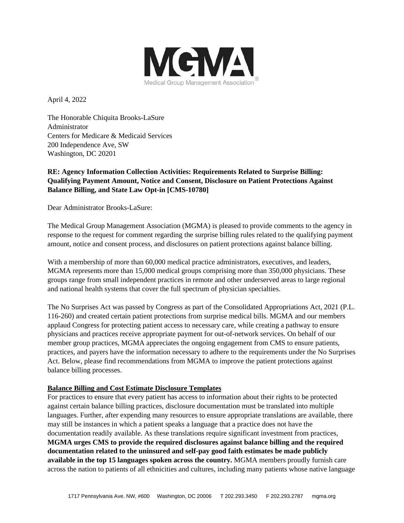

April 4, 2022

The Honorable Chiquita Brooks-LaSure Administrator Centers for Medicare & Medicaid Services 200 Independence Ave, SW Washington, DC 20201

# **RE: Agency Information Collection Activities: Requirements Related to Surprise Billing: Qualifying Payment Amount, Notice and Consent, Disclosure on Patient Protections Against Balance Billing, and State Law Opt-in [CMS-10780]**

Dear Administrator Brooks-LaSure:

The Medical Group Management Association (MGMA) is pleased to provide comments to the agency in response to the request for comment regarding the surprise billing rules related to the qualifying payment amount, notice and consent process, and disclosures on patient protections against balance billing.

With a membership of more than 60,000 medical practice administrators, executives, and leaders, MGMA represents more than 15,000 medical groups comprising more than 350,000 physicians. These groups range from small independent practices in remote and other underserved areas to large regional and national health systems that cover the full spectrum of physician specialties.

The No Surprises Act was passed by Congress as part of the Consolidated Appropriations Act, 2021 (P.L. 116-260) and created certain patient protections from surprise medical bills. MGMA and our members applaud Congress for protecting patient access to necessary care, while creating a pathway to ensure physicians and practices receive appropriate payment for out-of-network services. On behalf of our member group practices, MGMA appreciates the ongoing engagement from CMS to ensure patients, practices, and payers have the information necessary to adhere to the requirements under the No Surprises Act. Below, please find recommendations from MGMA to improve the patient protections against balance billing processes.

### **Balance Billing and Cost Estimate Disclosure Templates**

For practices to ensure that every patient has access to information about their rights to be protected against certain balance billing practices, disclosure documentation must be translated into multiple languages. Further, after expending many resources to ensure appropriate translations are available, there may still be instances in which a patient speaks a language that a practice does not have the documentation readily available. As these translations require significant investment from practices, **MGMA urges CMS to provide the required disclosures against balance billing and the required documentation related to the uninsured and self-pay good faith estimates be made publicly available in the top 15 languages spoken across the country.** MGMA members proudly furnish care across the nation to patients of all ethnicities and cultures, including many patients whose native language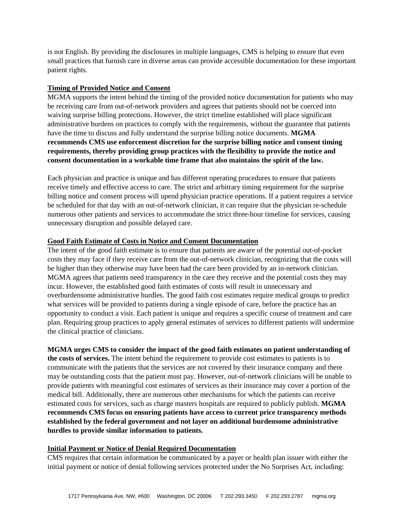is not English. By providing the disclosures in multiple languages, CMS is helping to ensure that even small practices that furnish care in diverse areas can provide accessible documentation for these important patient rights.

### **Timing of Provided Notice and Consent**

MGMA supports the intent behind the timing of the provided notice documentation for patients who may be receiving care from out-of-network providers and agrees that patients should not be coerced into waiving surprise billing protections. However, the strict timeline established will place significant administrative burdens on practices to comply with the requirements, without the guarantee that patients have the time to discuss and fully understand the surprise billing notice documents. **MGMA recommends CMS use enforcement discretion for the surprise billing notice and consent timing requirements, thereby providing group practices with the flexibility to provide the notice and consent documentation in a workable time frame that also maintains the spirit of the law.** 

Each physician and practice is unique and has different operating procedures to ensure that patients receive timely and effective access to care. The strict and arbitrary timing requirement for the surprise billing notice and consent process will upend physician practice operations. If a patient requires a service be scheduled for that day with an out-of-network clinician, it can require that the physician re-schedule numerous other patients and services to accommodate the strict three-hour timeline for services, causing unnecessary disruption and possible delayed care.

## **Good Faith Estimate of Costs in Notice and Consent Documentation**

The intent of the good faith estimate is to ensure that patients are aware of the potential out-of-pocket costs they may face if they receive care from the out-of-network clinician, recognizing that the costs will be higher than they otherwise may have been had the care been provided by an in-network clinician. MGMA agrees that patients need transparency in the care they receive and the potential costs they may incur. However, the established good faith estimates of costs will result in unnecessary and overburdensome administrative hurdles. The good faith cost estimates require medical groups to predict what services will be provided to patients during a single episode of care, before the practice has an opportunity to conduct a visit. Each patient is unique and requires a specific course of treatment and care plan. Requiring group practices to apply general estimates of services to different patients will undermine the clinical practice of clinicians.

# **MGMA urges CMS to consider the impact of the good faith estimates on patient understanding of**

**the costs of services.** The intent behind the requirement to provide cost estimates to patients is to communicate with the patients that the services are not covered by their insurance company and there may be outstanding costs that the patient must pay. However, out-of-network clinicians will be unable to provide patients with meaningful cost estimates of services as their insurance may cover a portion of the medical bill. Additionally, there are numerous other mechanisms for which the patients can receive estimated costs for services, such as charge masters hospitals are required to publicly publish. **MGMA recommends CMS focus on ensuring patients have access to current price transparency methods established by the federal government and not layer on additional burdensome administrative hurdles to provide similar information to patients.** 

### **Initial Payment or Notice of Denial Required Documentation**

CMS requires that certain information be communicated by a payer or health plan issuer with either the initial payment or notice of denial following services protected under the No Surprises Act, including: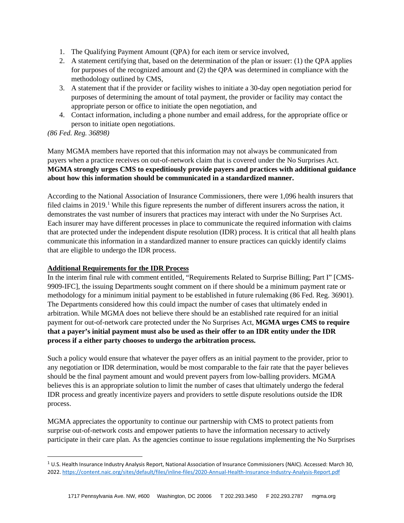- 1. The Qualifying Payment Amount (QPA) for each item or service involved,
- 2. A statement certifying that, based on the determination of the plan or issuer: (1) the QPA applies for purposes of the recognized amount and (2) the QPA was determined in compliance with the methodology outlined by CMS,
- 3. A statement that if the provider or facility wishes to initiate a 30-day open negotiation period for purposes of determining the amount of total payment, the provider or facility may contact the appropriate person or office to initiate the open negotiation, and
- 4. Contact information, including a phone number and email address, for the appropriate office or person to initiate open negotiations.

*(86 Fed. Reg. 36898)*

Many MGMA members have reported that this information may not always be communicated from payers when a practice receives on out-of-network claim that is covered under the No Surprises Act. **MGMA strongly urges CMS to expeditiously provide payers and practices with additional guidance about how this information should be communicated in a standardized manner.**

According to the National Association of Insurance Commissioners, there were 1,096 health insurers that filed claims in 20[1](#page-2-0)9.<sup>1</sup> While this figure represents the number of different insurers across the nation, it demonstrates the vast number of insurers that practices may interact with under the No Surprises Act. Each insurer may have different processes in place to communicate the required information with claims that are protected under the independent dispute resolution (IDR) process. It is critical that all health plans communicate this information in a standardized manner to ensure practices can quickly identify claims that are eligible to undergo the IDR process.

# **Additional Requirements for the IDR Process**

In the interim final rule with comment entitled, "Requirements Related to Surprise Billing; Part I" [CMS-9909-IFC], the issuing Departments sought comment on if there should be a minimum payment rate or methodology for a minimum initial payment to be established in future rulemaking (86 Fed. Reg. 36901). The Departments considered how this could impact the number of cases that ultimately ended in arbitration. While MGMA does not believe there should be an established rate required for an initial payment for out-of-network care protected under the No Surprises Act, **MGMA urges CMS to require that a payer's initial payment must also be used as their offer to an IDR entity under the IDR process if a either party chooses to undergo the arbitration process.**

Such a policy would ensure that whatever the payer offers as an initial payment to the provider, prior to any negotiation or IDR determination, would be most comparable to the fair rate that the payer believes should be the final payment amount and would prevent payers from low-balling providers. MGMA believes this is an appropriate solution to limit the number of cases that ultimately undergo the federal IDR process and greatly incentivize payers and providers to settle dispute resolutions outside the IDR process.

MGMA appreciates the opportunity to continue our partnership with CMS to protect patients from surprise out-of-network costs and empower patients to have the information necessary to actively participate in their care plan. As the agencies continue to issue regulations implementing the No Surprises

<span id="page-2-0"></span> $1$  U.S. Health Insurance Industry Analysis Report, National Association of Insurance Commissioners (NAIC). Accessed: March 30, 2022[. https://content.naic.org/sites/default/files/inline-files/2020-Annual-Health-Insurance-Industry-Analysis-Report.pdf](https://content.naic.org/sites/default/files/inline-files/2020-Annual-Health-Insurance-Industry-Analysis-Report.pdf)